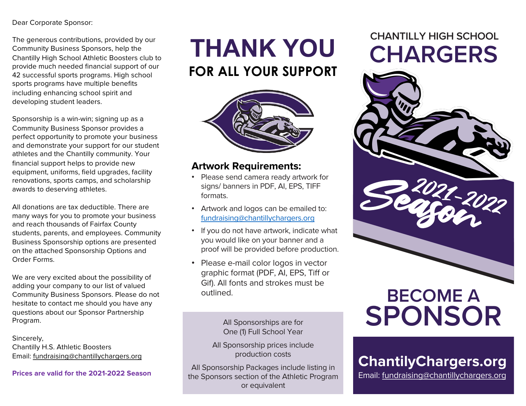## Dear Corporate Sponsor:

The generous contributions, provided by our Community Business Sponsors, help the Chantilly High School Athletic Boosters club to provide much needed financial support of our 42 successful sports programs. High school sports programs have multiple benefits including enhancing school spirit and developing student leaders.

Sponsorship is a win-win; signing up as a Community Business Sponsor provides a perfect opportunity to promote your business and demonstrate your support for our student athletes and the Chantilly community. Your financial support helps to provide new equipment, uniforms, field upgrades, facility renovations, sports camps, and scholarship awards to deserving athletes.

All donations are tax deductible. There are many ways for you to promote your business and reach thousands of Fairfax County students, parents, and employees. Community Business Sponsorship options are presented on the attached Sponsorship Options and Order Forms.

We are very excited about the possibility of adding your company to our list of valued Community Business Sponsors. Please do not hesitate to contact me should you have any questions about our Sponsor Partnership Program.

Sincerely, Chantilly H.S. Athletic Boosters E[mail: fundraising@chantillychargers.](mailto:fundraising@chantillychargers.org)org

**Prices are valid for the 2021-2022 Season**

# **FOR ALL YOUR SUPPORT**



## **Artwork Requirements:**

- Please send camera ready artwork for signs/ banners in PDF, AI, EPS, TIFF formats.
- Artwork and logos can be emailed to: [fundraising@chantillychargers.o](mailto:fundraising@chantillychargers.org?subject=CHS%20Booster%20Sponsorship)rg
- If you do not have artwork, indicate what you would like on your banner and a proof will be provided before production.
- Please e-mail color logos in vector graphic format (PDF, AI, EPS, Tiff or Gif). All fonts and strokes must be outlined.

All Sponsorships are for One (1) Full School Year

All Sponsorship prices include production costs

All Sponsorship Packages include listing in the Sponsors section of the Athletic Program or equivalent

## **CHANTILLY HIGH SCHOOL THANK YOU CHARGERS**



# **BECOME A SPONSOR**

## **ChantilyChargers.org**

Em[ail: fundraising@chantillychargers.o](mailto:fundraising@chantillychargers.org?subject=CHS%20Booster%20Sponsorship)rg